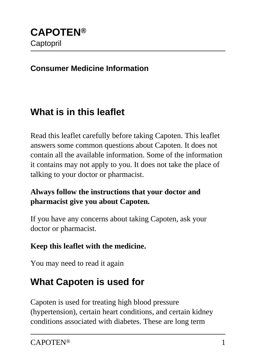#### **Consumer Medicine Information**

## **What is in this leaflet**

Read this leaflet carefully before taking Capoten. This leaflet answers some common questions about Capoten. It does not contain all the available information. Some of the information it contains may not apply to you. It does not take the place of talking to your doctor or pharmacist.

#### **Always follow the instructions that your doctor and pharmacist give you about Capoten.**

If you have any concerns about taking Capoten, ask your doctor or pharmacist.

#### **Keep this leaflet with the medicine.**

You may need to read it again

## **What Capoten is used for**

Capoten is used for treating high blood pressure (hypertension), certain heart conditions, and certain kidney conditions associated with diabetes. These are long term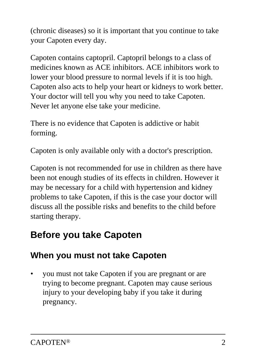(chronic diseases) so it is important that you continue to take your Capoten every day.

Capoten contains captopril. Captopril belongs to a class of medicines known as ACE inhibitors. ACE inhibitors work to lower your blood pressure to normal levels if it is too high. Capoten also acts to help your heart or kidneys to work better. Your doctor will tell you why you need to take Capoten. Never let anyone else take your medicine.

There is no evidence that Capoten is addictive or habit forming.

Capoten is only available only with a doctor's prescription.

Capoten is not recommended for use in children as there have been not enough studies of its effects in children. However it may be necessary for a child with hypertension and kidney problems to take Capoten, if this is the case your doctor will discuss all the possible risks and benefits to the child before starting therapy.

## **Before you take Capoten**

## **When you must not take Capoten**

• you must not take Capoten if you are pregnant or are trying to become pregnant. Capoten may cause serious injury to your developing baby if you take it during pregnancy.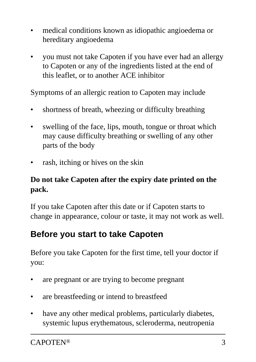- medical conditions known as idiopathic angioedema or hereditary angioedema
- you must not take Capoten if you have ever had an allergy to Capoten or any of the ingredients listed at the end of this leaflet, or to another ACE inhibitor

Symptoms of an allergic reation to Capoten may include

- shortness of breath, wheezing or difficulty breathing
- swelling of the face, lips, mouth, tongue or throat which may cause difficulty breathing or swelling of any other parts of the body
- rash, itching or hives on the skin

### **Do not take Capoten after the expiry date printed on the pack.**

If you take Capoten after this date or if Capoten starts to change in appearance, colour or taste, it may not work as well.

## **Before you start to take Capoten**

Before you take Capoten for the first time, tell your doctor if you:

- are pregnant or are trying to become pregnant
- are breastfeeding or intend to breastfeed
- have any other medical problems, particularly diabetes, systemic lupus erythematous, scleroderma, neutropenia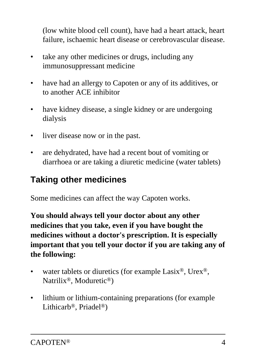(low white blood cell count), have had a heart attack, heart failure, ischaemic heart disease or cerebrovascular disease.

- take any other medicines or drugs, including any immunosuppressant medicine
- have had an allergy to Capoten or any of its additives, or to another ACE inhibitor
- have kidney disease, a single kidney or are undergoing dialysis
- liver disease now or in the past.
- are dehydrated, have had a recent bout of vomiting or diarrhoea or are taking a diuretic medicine (water tablets)

## **Taking other medicines**

Some medicines can affect the way Capoten works.

**You should always tell your doctor about any other medicines that you take, even if you have bought the medicines without a doctor's prescription. It is especially important that you tell your doctor if you are taking any of the following:**

- water tablets or diuretics (for example Lasix<sup>®</sup>, Urex<sup>®</sup>, Natrilix®, Moduretic®)
- lithium or lithium-containing preparations (for example Lithicarb®, Priadel®)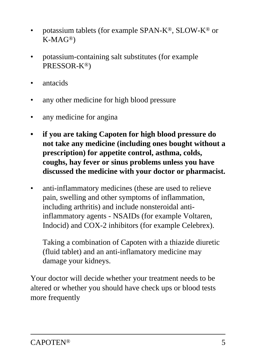- potassium tablets (for example SPAN-K®, SLOW-K® or K-MAG®)
- potassium-containing salt substitutes (for example PRESSOR-K®)
- antacids
- any other medicine for high blood pressure
- any medicine for angina
- **if you are taking Capoten for high blood pressure do not take any medicine (including ones bought without a prescription) for appetite control, asthma, colds, coughs, hay fever or sinus problems unless you have discussed the medicine with your doctor or pharmacist.**
- anti-inflammatory medicines (these are used to relieve pain, swelling and other symptoms of inflammation, including arthritis) and include nonsteroidal antiinflammatory agents - NSAIDs (for example Voltaren, Indocid) and COX-2 inhibitors (for example Celebrex).

 Taking a combination of Capoten with a thiazide diuretic (fluid tablet) and an anti-inflamatory medicine may damage your kidneys.

Your doctor will decide whether your treatment needs to be altered or whether you should have check ups or blood tests more frequently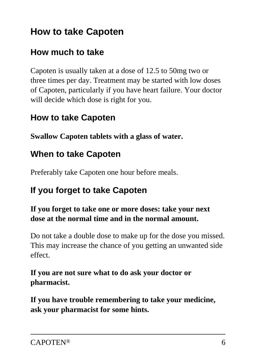# **How to take Capoten**

### **How much to take**

Capoten is usually taken at a dose of 12.5 to 50mg two or three times per day. Treatment may be started with low doses of Capoten, particularly if you have heart failure. Your doctor will decide which dose is right for you.

### **How to take Capoten**

**Swallow Capoten tablets with a glass of water.**

### **When to take Capoten**

Preferably take Capoten one hour before meals.

## **If you forget to take Capoten**

#### **If you forget to take one or more doses: take your next dose at the normal time and in the normal amount.**

Do not take a double dose to make up for the dose you missed. This may increase the chance of you getting an unwanted side effect.

**If you are not sure what to do ask your doctor or pharmacist.**

**If you have trouble remembering to take your medicine, ask your pharmacist for some hints.**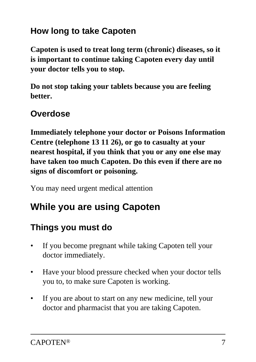## **How long to take Capoten**

**Capoten is used to treat long term (chronic) diseases, so it is important to continue taking Capoten every day until your doctor tells you to stop.**

**Do not stop taking your tablets because you are feeling better.**

### **Overdose**

**Immediately telephone your doctor or Poisons Information Centre (telephone 13 11 26), or go to casualty at your nearest hospital, if you think that you or any one else may have taken too much Capoten. Do this even if there are no signs of discomfort or poisoning.**

You may need urgent medical attention

# **While you are using Capoten**

## **Things you must do**

- If you become pregnant while taking Capoten tell your doctor immediately.
- Have your blood pressure checked when your doctor tells you to, to make sure Capoten is working.
- If you are about to start on any new medicine, tell your doctor and pharmacist that you are taking Capoten.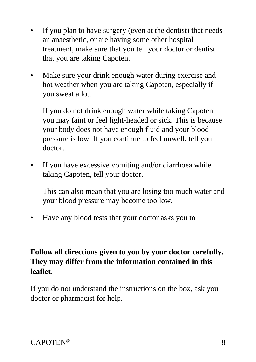- If you plan to have surgery (even at the dentist) that needs an anaesthetic, or are having some other hospital treatment, make sure that you tell your doctor or dentist that you are taking Capoten.
- Make sure your drink enough water during exercise and hot weather when you are taking Capoten, especially if you sweat a lot.

 If you do not drink enough water while taking Capoten, you may faint or feel light-headed or sick. This is because your body does not have enough fluid and your blood pressure is low. If you continue to feel unwell, tell your doctor.

If you have excessive vomiting and/or diarrhoea while taking Capoten, tell your doctor.

 This can also mean that you are losing too much water and your blood pressure may become too low.

• Have any blood tests that your doctor asks you to

### **Follow all directions given to you by your doctor carefully. They may differ from the information contained in this leaflet.**

If you do not understand the instructions on the box, ask you doctor or pharmacist for help.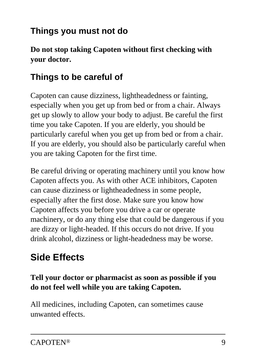## **Things you must not do**

**Do not stop taking Capoten without first checking with your doctor.**

## **Things to be careful of**

Capoten can cause dizziness, lightheadedness or fainting, especially when you get up from bed or from a chair. Always get up slowly to allow your body to adjust. Be careful the first time you take Capoten. If you are elderly, you should be particularly careful when you get up from bed or from a chair. If you are elderly, you should also be particularly careful when you are taking Capoten for the first time.

Be careful driving or operating machinery until you know how Capoten affects you. As with other ACE inhibitors, Capoten can cause dizziness or lightheadedness in some people, especially after the first dose. Make sure you know how Capoten affects you before you drive a car or operate machinery, or do any thing else that could be dangerous if you are dizzy or light-headed. If this occurs do not drive. If you drink alcohol, dizziness or light-headedness may be worse.

# **Side Effects**

### **Tell your doctor or pharmacist as soon as possible if you do not feel well while you are taking Capoten.**

All medicines, including Capoten, can sometimes cause unwanted effects.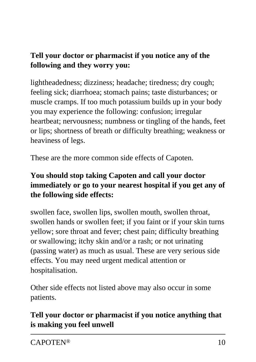### **Tell your doctor or pharmacist if you notice any of the following and they worry you:**

lightheadedness; dizziness; headache; tiredness; dry cough; feeling sick; diarrhoea; stomach pains; taste disturbances; or muscle cramps. If too much potassium builds up in your body you may experience the following: confusion; irregular heartbeat; nervousness; numbness or tingling of the hands, feet or lips; shortness of breath or difficulty breathing; weakness or heaviness of legs.

These are the more common side effects of Capoten.

### **You should stop taking Capoten and call your doctor immediately or go to your nearest hospital if you get any of the following side effects:**

swollen face, swollen lips, swollen mouth, swollen throat, swollen hands or swollen feet; if you faint or if your skin turns yellow; sore throat and fever; chest pain; difficulty breathing or swallowing; itchy skin and/or a rash; or not urinating (passing water) as much as usual. These are very serious side effects. You may need urgent medical attention or hospitalisation.

Other side effects not listed above may also occur in some patients.

### **Tell your doctor or pharmacist if you notice anything that is making you feel unwell**

CAPOTEN® 10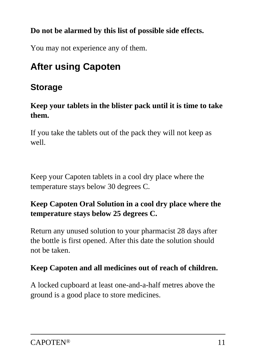### **Do not be alarmed by this list of possible side effects.**

You may not experience any of them.

# **After using Capoten**

## **Storage**

#### **Keep your tablets in the blister pack until it is time to take them.**

If you take the tablets out of the pack they will not keep as well.

Keep your Capoten tablets in a cool dry place where the temperature stays below 30 degrees C.

### **Keep Capoten Oral Solution in a cool dry place where the temperature stays below 25 degrees C.**

Return any unused solution to your pharmacist 28 days after the bottle is first opened. After this date the solution should not be taken.

### **Keep Capoten and all medicines out of reach of children.**

A locked cupboard at least one-and-a-half metres above the ground is a good place to store medicines.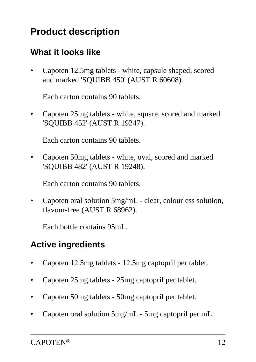# **Product description**

## **What it looks like**

• Capoten 12.5mg tablets - white, capsule shaped, scored and marked 'SQUIBB 450' (AUST R 60608).

Each carton contains 90 tablets.

• Capoten 25mg tablets - white, square, scored and marked 'SQUIBB 452' (AUST R 19247).

Each carton contains 90 tablets.

• Capoten 50mg tablets - white, oval, scored and marked 'SQUIBB 482' (AUST R 19248).

Each carton contains 90 tablets.

• Capoten oral solution 5mg/mL - clear, colourless solution, flavour-free (AUST R 68962).

Each bottle contains 95mL.

## **Active ingredients**

- Capoten 12.5mg tablets 12.5mg captopril per tablet.
- Capoten 25mg tablets 25mg captopril per tablet.
- Capoten 50mg tablets 50mg captopril per tablet.
- Capoten oral solution 5mg/mL 5mg captopril per mL.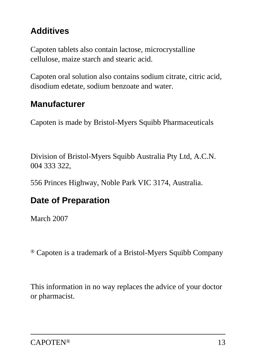## **Additives**

Capoten tablets also contain lactose, microcrystalline cellulose, maize starch and stearic acid.

Capoten oral solution also contains sodium citrate, citric acid, disodium edetate, sodium benzoate and water.

## **Manufacturer**

Capoten is made by Bristol-Myers Squibb Pharmaceuticals

 Division of Bristol-Myers Squibb Australia Pty Ltd, A.C.N. 004 333 322,

556 Princes Highway, Noble Park VIC 3174, Australia.

## **Date of Preparation**

March 2007

® Capoten is a trademark of a Bristol-Myers Squibb Company

 This information in no way replaces the advice of your doctor or pharmacist.